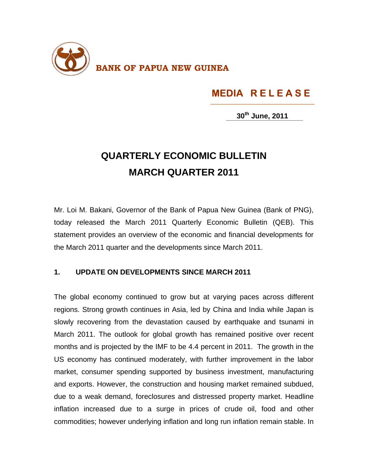

## **MEDIA R E L E A S E**

**30th June, 2011**

## **QUARTERLY ECONOMIC BULLETIN MARCH QUARTER 2011**

Mr. Loi M. Bakani, Governor of the Bank of Papua New Guinea (Bank of PNG), today released the March 2011 Quarterly Economic Bulletin (QEB). This statement provides an overview of the economic and financial developments for the March 2011 quarter and the developments since March 2011.

## **1. UPDATE ON DEVELOPMENTS SINCE MARCH 2011**

The global economy continued to grow but at varying paces across different regions. Strong growth continues in Asia, led by China and India while Japan is slowly recovering from the devastation caused by earthquake and tsunami in March 2011. The outlook for global growth has remained positive over recent months and is projected by the IMF to be 4.4 percent in 2011. The growth in the US economy has continued moderately, with further improvement in the labor market, consumer spending supported by business investment, manufacturing and exports. However, the construction and housing market remained subdued, due to a weak demand, foreclosures and distressed property market. Headline inflation increased due to a surge in prices of crude oil, food and other commodities; however underlying inflation and long run inflation remain stable. In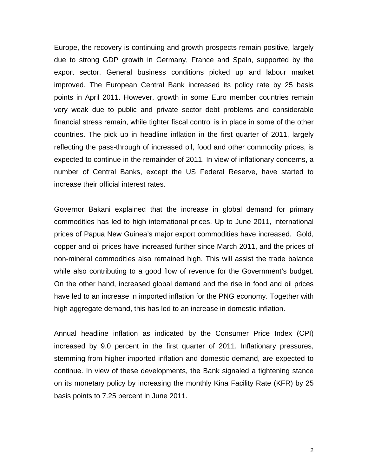Europe, the recovery is continuing and growth prospects remain positive, largely due to strong GDP growth in Germany, France and Spain, supported by the export sector. General business conditions picked up and labour market improved. The European Central Bank increased its policy rate by 25 basis points in April 2011. However, growth in some Euro member countries remain very weak due to public and private sector debt problems and considerable financial stress remain, while tighter fiscal control is in place in some of the other countries. The pick up in headline inflation in the first quarter of 2011, largely reflecting the pass-through of increased oil, food and other commodity prices, is expected to continue in the remainder of 2011. In view of inflationary concerns, a number of Central Banks, except the US Federal Reserve, have started to increase their official interest rates.

Governor Bakani explained that the increase in global demand for primary commodities has led to high international prices. Up to June 2011, international prices of Papua New Guinea's major export commodities have increased. Gold, copper and oil prices have increased further since March 2011, and the prices of non-mineral commodities also remained high. This will assist the trade balance while also contributing to a good flow of revenue for the Government's budget. On the other hand, increased global demand and the rise in food and oil prices have led to an increase in imported inflation for the PNG economy. Together with high aggregate demand, this has led to an increase in domestic inflation.

Annual headline inflation as indicated by the Consumer Price Index (CPI) increased by 9.0 percent in the first quarter of 2011. Inflationary pressures, stemming from higher imported inflation and domestic demand, are expected to continue. In view of these developments, the Bank signaled a tightening stance on its monetary policy by increasing the monthly Kina Facility Rate (KFR) by 25 basis points to 7.25 percent in June 2011.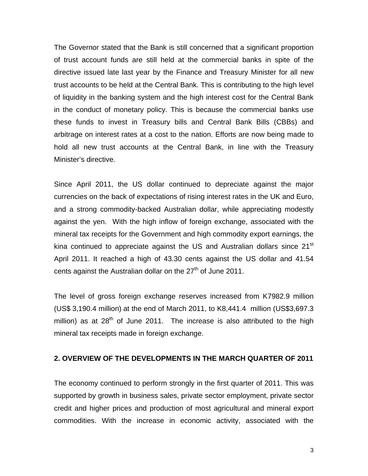The Governor stated that the Bank is still concerned that a significant proportion of trust account funds are still held at the commercial banks in spite of the directive issued late last year by the Finance and Treasury Minister for all new trust accounts to be held at the Central Bank. This is contributing to the high level of liquidity in the banking system and the high interest cost for the Central Bank in the conduct of monetary policy. This is because the commercial banks use these funds to invest in Treasury bills and Central Bank Bills (CBBs) and arbitrage on interest rates at a cost to the nation. Efforts are now being made to hold all new trust accounts at the Central Bank, in line with the Treasury Minister's directive.

Since April 2011, the US dollar continued to depreciate against the major currencies on the back of expectations of rising interest rates in the UK and Euro, and a strong commodity-backed Australian dollar, while appreciating modestly against the yen. With the high inflow of foreign exchange, associated with the mineral tax receipts for the Government and high commodity export earnings, the kina continued to appreciate against the US and Australian dollars since  $21<sup>st</sup>$ April 2011. It reached a high of 43.30 cents against the US dollar and 41.54 cents against the Australian dollar on the  $27<sup>th</sup>$  of June 2011.

The level of gross foreign exchange reserves increased from K7982.9 million (US\$ 3,190.4 million) at the end of March 2011, to K8,441.4 million (US\$3,697.3 million) as at  $28<sup>th</sup>$  of June 2011. The increase is also attributed to the high mineral tax receipts made in foreign exchange.

## **2. OVERVIEW OF THE DEVELOPMENTS IN THE MARCH QUARTER OF 2011**

The economy continued to perform strongly in the first quarter of 2011. This was supported by growth in business sales, private sector employment, private sector credit and higher prices and production of most agricultural and mineral export commodities. With the increase in economic activity, associated with the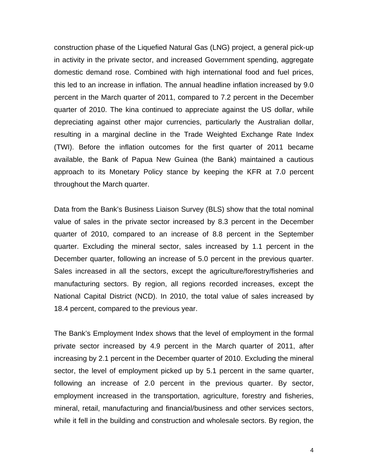construction phase of the Liquefied Natural Gas (LNG) project, a general pick-up in activity in the private sector, and increased Government spending, aggregate domestic demand rose. Combined with high international food and fuel prices, this led to an increase in inflation. The annual headline inflation increased by 9.0 percent in the March quarter of 2011, compared to 7.2 percent in the December quarter of 2010. The kina continued to appreciate against the US dollar, while depreciating against other major currencies, particularly the Australian dollar, resulting in a marginal decline in the Trade Weighted Exchange Rate Index (TWI). Before the inflation outcomes for the first quarter of 2011 became available, the Bank of Papua New Guinea (the Bank) maintained a cautious approach to its Monetary Policy stance by keeping the KFR at 7.0 percent throughout the March quarter.

Data from the Bank's Business Liaison Survey (BLS) show that the total nominal value of sales in the private sector increased by 8.3 percent in the December quarter of 2010, compared to an increase of 8.8 percent in the September quarter. Excluding the mineral sector, sales increased by 1.1 percent in the December quarter, following an increase of 5.0 percent in the previous quarter. Sales increased in all the sectors, except the agriculture/forestry/fisheries and manufacturing sectors. By region, all regions recorded increases, except the National Capital District (NCD). In 2010, the total value of sales increased by 18.4 percent, compared to the previous year.

The Bank's Employment Index shows that the level of employment in the formal private sector increased by 4.9 percent in the March quarter of 2011, after increasing by 2.1 percent in the December quarter of 2010. Excluding the mineral sector, the level of employment picked up by 5.1 percent in the same quarter, following an increase of 2.0 percent in the previous quarter. By sector, employment increased in the transportation, agriculture, forestry and fisheries, mineral, retail, manufacturing and financial/business and other services sectors, while it fell in the building and construction and wholesale sectors. By region, the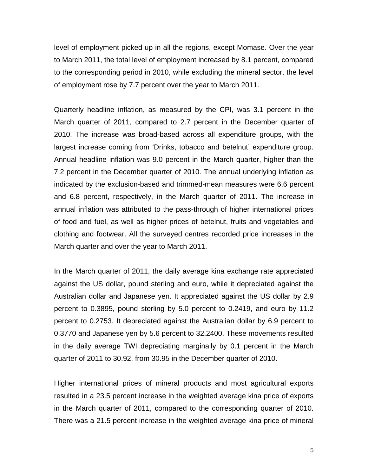level of employment picked up in all the regions, except Momase. Over the year to March 2011, the total level of employment increased by 8.1 percent, compared to the corresponding period in 2010, while excluding the mineral sector, the level of employment rose by 7.7 percent over the year to March 2011.

Quarterly headline inflation, as measured by the CPI, was 3.1 percent in the March quarter of 2011, compared to 2.7 percent in the December quarter of 2010. The increase was broad-based across all expenditure groups, with the largest increase coming from 'Drinks, tobacco and betelnut' expenditure group. Annual headline inflation was 9.0 percent in the March quarter, higher than the 7.2 percent in the December quarter of 2010. The annual underlying inflation as indicated by the exclusion-based and trimmed-mean measures were 6.6 percent and 6.8 percent, respectively, in the March quarter of 2011. The increase in annual inflation was attributed to the pass-through of higher international prices of food and fuel, as well as higher prices of betelnut, fruits and vegetables and clothing and footwear. All the surveyed centres recorded price increases in the March quarter and over the year to March 2011.

In the March quarter of 2011, the daily average kina exchange rate appreciated against the US dollar, pound sterling and euro, while it depreciated against the Australian dollar and Japanese yen. It appreciated against the US dollar by 2.9 percent to 0.3895, pound sterling by 5.0 percent to 0.2419, and euro by 11.2 percent to 0.2753. It depreciated against the Australian dollar by 6.9 percent to 0.3770 and Japanese yen by 5.6 percent to 32.2400. These movements resulted in the daily average TWI depreciating marginally by 0.1 percent in the March quarter of 2011 to 30.92, from 30.95 in the December quarter of 2010.

Higher international prices of mineral products and most agricultural exports resulted in a 23.5 percent increase in the weighted average kina price of exports in the March quarter of 2011, compared to the corresponding quarter of 2010. There was a 21.5 percent increase in the weighted average kina price of mineral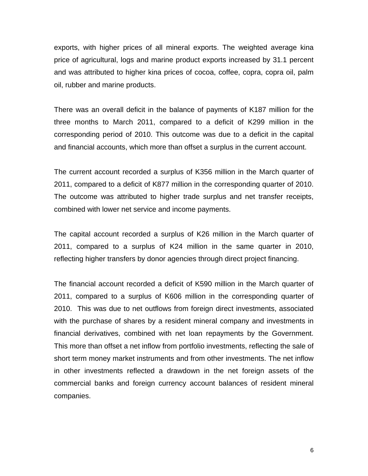exports, with higher prices of all mineral exports. The weighted average kina price of agricultural, logs and marine product exports increased by 31.1 percent and was attributed to higher kina prices of cocoa, coffee, copra, copra oil, palm oil, rubber and marine products.

There was an overall deficit in the balance of payments of K187 million for the three months to March 2011, compared to a deficit of K299 million in the corresponding period of 2010. This outcome was due to a deficit in the capital and financial accounts, which more than offset a surplus in the current account.

The current account recorded a surplus of K356 million in the March quarter of 2011, compared to a deficit of K877 million in the corresponding quarter of 2010. The outcome was attributed to higher trade surplus and net transfer receipts, combined with lower net service and income payments.

The capital account recorded a surplus of K26 million in the March quarter of 2011, compared to a surplus of K24 million in the same quarter in 2010, reflecting higher transfers by donor agencies through direct project financing.

The financial account recorded a deficit of K590 million in the March quarter of 2011, compared to a surplus of K606 million in the corresponding quarter of 2010. This was due to net outflows from foreign direct investments, associated with the purchase of shares by a resident mineral company and investments in financial derivatives, combined with net loan repayments by the Government. This more than offset a net inflow from portfolio investments, reflecting the sale of short term money market instruments and from other investments. The net inflow in other investments reflected a drawdown in the net foreign assets of the commercial banks and foreign currency account balances of resident mineral companies.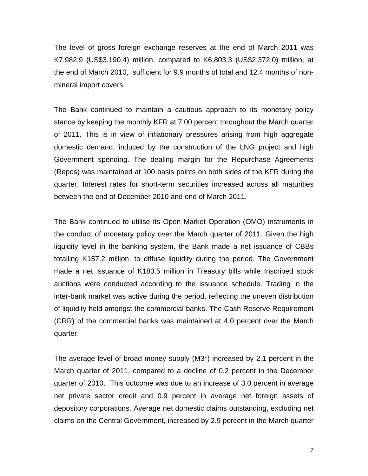The level of gross foreign exchange reserves at the end of March 2011 was K7,982.9 (US\$3,190.4) million, compared to K6,803.3 (US\$2,372.0) million, at the end of March 2010, sufficient for 9.9 months of total and 12.4 months of nonmineral import covers.

The Bank continued to maintain a cautious approach to its monetary policy stance by keeping the monthly KFR at 7.00 percent throughout the March quarter of 2011. This is in view of inflationary pressures arising from high aggregate domestic demand, induced by the construction of the LNG project and high Government spending. The dealing margin for the Repurchase Agreements (Repos) was maintained at 100 basis points on both sides of the KFR during the quarter. Interest rates for short-term securities increased across all maturities between the end of December 2010 and end of March 2011.

The Bank continued to utilise its Open Market Operation (OMO) instruments in the conduct of monetary policy over the March quarter of 2011. Given the high liquidity level in the banking system, the Bank made a net issuance of CBBs totalling K157.2 million, to diffuse liquidity during the period. The Government made a net issuance of K183.5 million in Treasury bills while Inscribed stock auctions were conducted according to the issuance schedule. Trading in the inter-bank market was active during the period, reflecting the uneven distribution of liquidity held amongst the commercial banks. The Cash Reserve Requirement (CRR) of the commercial banks was maintained at 4.0 percent over the March quarter.

The average level of broad money supply (M3\*) increased by 2.1 percent in the March quarter of 2011, compared to a decline of 0.2 percent in the December quarter of 2010. This outcome was due to an increase of 3.0 percent in average net private sector credit and 0.9 percent in average net foreign assets of depository corporations. Average net domestic claims outstanding, excluding net claims on the Central Government, increased by 2.9 percent in the March quarter

7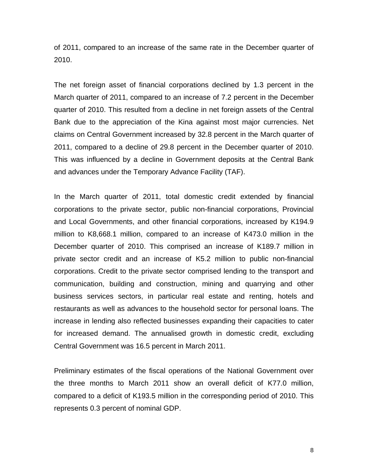of 2011, compared to an increase of the same rate in the December quarter of 2010.

The net foreign asset of financial corporations declined by 1.3 percent in the March quarter of 2011, compared to an increase of 7.2 percent in the December quarter of 2010. This resulted from a decline in net foreign assets of the Central Bank due to the appreciation of the Kina against most major currencies. Net claims on Central Government increased by 32.8 percent in the March quarter of 2011, compared to a decline of 29.8 percent in the December quarter of 2010. This was influenced by a decline in Government deposits at the Central Bank and advances under the Temporary Advance Facility (TAF).

In the March quarter of 2011, total domestic credit extended by financial corporations to the private sector, public non-financial corporations, Provincial and Local Governments, and other financial corporations, increased by K194.9 million to K8,668.1 million, compared to an increase of K473.0 million in the December quarter of 2010. This comprised an increase of K189.7 million in private sector credit and an increase of K5.2 million to public non-financial corporations. Credit to the private sector comprised lending to the transport and communication, building and construction, mining and quarrying and other business services sectors, in particular real estate and renting, hotels and restaurants as well as advances to the household sector for personal loans. The increase in lending also reflected businesses expanding their capacities to cater for increased demand. The annualised growth in domestic credit, excluding Central Government was 16.5 percent in March 2011.

Preliminary estimates of the fiscal operations of the National Government over the three months to March 2011 show an overall deficit of K77.0 million, compared to a deficit of K193.5 million in the corresponding period of 2010. This represents 0.3 percent of nominal GDP.

8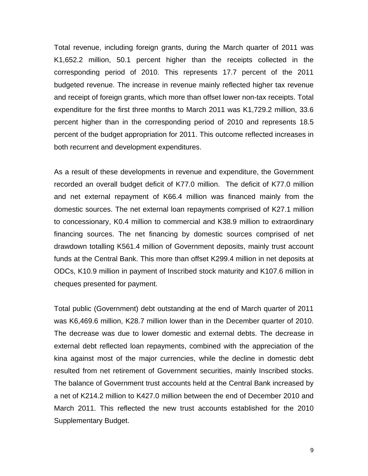Total revenue, including foreign grants, during the March quarter of 2011 was K1,652.2 million, 50.1 percent higher than the receipts collected in the corresponding period of 2010. This represents 17.7 percent of the 2011 budgeted revenue. The increase in revenue mainly reflected higher tax revenue and receipt of foreign grants, which more than offset lower non-tax receipts. Total expenditure for the first three months to March 2011 was K1,729.2 million, 33.6 percent higher than in the corresponding period of 2010 and represents 18.5 percent of the budget appropriation for 2011. This outcome reflected increases in both recurrent and development expenditures.

As a result of these developments in revenue and expenditure, the Government recorded an overall budget deficit of K77.0 million. The deficit of K77.0 million and net external repayment of K66.4 million was financed mainly from the domestic sources. The net external loan repayments comprised of K27.1 million to concessionary, K0.4 million to commercial and K38.9 million to extraordinary financing sources. The net financing by domestic sources comprised of net drawdown totalling K561.4 million of Government deposits, mainly trust account funds at the Central Bank. This more than offset K299.4 million in net deposits at ODCs, K10.9 million in payment of Inscribed stock maturity and K107.6 million in cheques presented for payment.

Total public (Government) debt outstanding at the end of March quarter of 2011 was K6,469.6 million, K28.7 million lower than in the December quarter of 2010. The decrease was due to lower domestic and external debts. The decrease in external debt reflected loan repayments, combined with the appreciation of the kina against most of the major currencies, while the decline in domestic debt resulted from net retirement of Government securities, mainly Inscribed stocks. The balance of Government trust accounts held at the Central Bank increased by a net of K214.2 million to K427.0 million between the end of December 2010 and March 2011. This reflected the new trust accounts established for the 2010 Supplementary Budget.